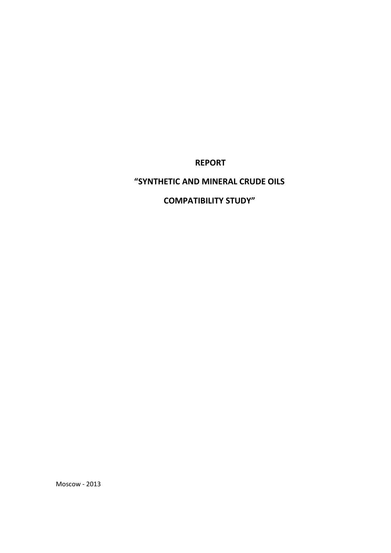**REPORT**

## **"SYNTHETIC AND MINERAL CRUDE OILS**

**COMPATIBILITY STUDY"**

Moscow - 2013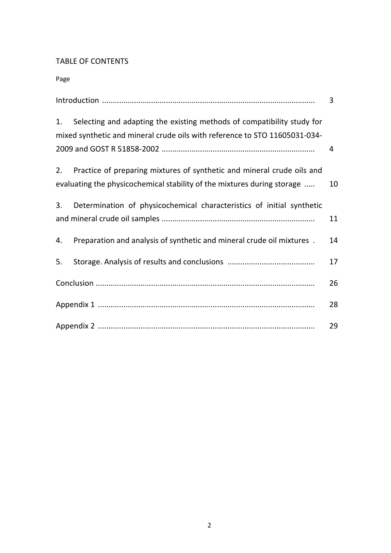### TABLE OF CONTENTS

| Page |                                                                                                                                                      |    |
|------|------------------------------------------------------------------------------------------------------------------------------------------------------|----|
|      |                                                                                                                                                      | 3  |
| 1.   | Selecting and adapting the existing methods of compatibility study for<br>mixed synthetic and mineral crude oils with reference to STO 11605031-034- | 4  |
| 2.   | Practice of preparing mixtures of synthetic and mineral crude oils and<br>evaluating the physicochemical stability of the mixtures during storage    | 10 |
| 3.   | Determination of physicochemical characteristics of initial synthetic                                                                                | 11 |
| 4.   | Preparation and analysis of synthetic and mineral crude oil mixtures.                                                                                | 14 |
| 5.   |                                                                                                                                                      | 17 |
|      |                                                                                                                                                      | 26 |
|      |                                                                                                                                                      | 28 |
|      |                                                                                                                                                      | 29 |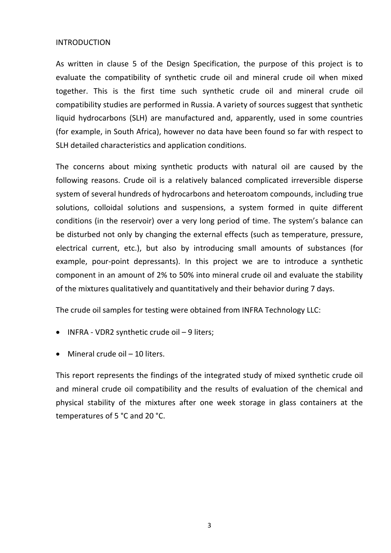#### INTRODUCTION

As written in clause 5 of the Design Specification, the purpose of this project is to evaluate the compatibility of synthetic crude oil and mineral crude oil when mixed together. This is the first time such synthetic crude oil and mineral crude oil compatibility studies are performed in Russia. A variety of sources suggest that synthetic liquid hydrocarbons (SLH) are manufactured and, apparently, used in some countries (for example, in South Africa), however no data have been found so far with respect to SLH detailed characteristics and application conditions.

The concerns about mixing synthetic products with natural oil are caused by the following reasons. Crude oil is a relatively balanced complicated irreversible disperse system of several hundreds of hydrocarbons and heteroatom compounds, including true solutions, colloidal solutions and suspensions, a system formed in quite different conditions (in the reservoir) over a very long period of time. The system's balance can be disturbed not only by changing the external effects (such as temperature, pressure, electrical current, etc.), but also by introducing small amounts of substances (for example, pour-point depressants). In this project we are to introduce a synthetic component in an amount of 2% to 50% into mineral crude oil and evaluate the stability of the mixtures qualitatively and quantitatively and their behavior during 7 days.

The crude oil samples for testing were obtained from INFRA Technology LLC:

- INFRA VDR2 synthetic crude oil 9 liters;
- Mineral crude oil 10 liters.

This report represents the findings of the integrated study of mixed synthetic crude oil and mineral crude oil compatibility and the results of evaluation of the chemical and physical stability of the mixtures after one week storage in glass containers at the temperatures of 5 °C and 20 °C.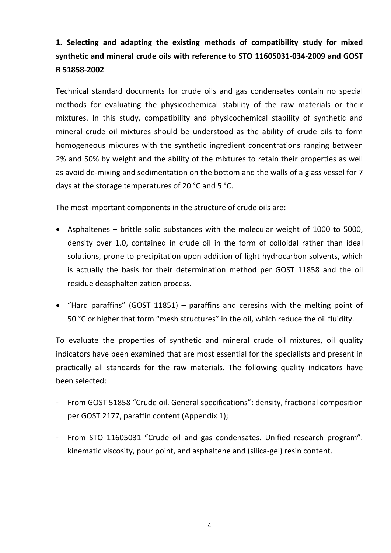# **1. Selecting and adapting the existing methods of compatibility study for mixed synthetic and mineral crude oils with reference to STO 11605031-034-2009 and GOST R 51858-2002**

Technical standard documents for crude oils and gas condensates contain no special methods for evaluating the physicochemical stability of the raw materials or their mixtures. In this study, compatibility and physicochemical stability of synthetic and mineral crude oil mixtures should be understood as the ability of crude oils to form homogeneous mixtures with the synthetic ingredient concentrations ranging between 2% and 50% by weight and the ability of the mixtures to retain their properties as well as avoid de-mixing and sedimentation on the bottom and the walls of a glass vessel for 7 days at the storage temperatures of 20 °C and 5 °C.

The most important components in the structure of crude oils are:

- Asphaltenes brittle solid substances with the molecular weight of 1000 to 5000, density over 1.0, contained in crude oil in the form of colloidal rather than ideal solutions, prone to precipitation upon addition of light hydrocarbon solvents, which is actually the basis for their determination method per GOST 11858 and the oil residue deasphaltenization process.
- "Hard paraffins" (GOST 11851) paraffins and ceresins with the melting point of 50 °C or higher that form "mesh structures" in the oil, which reduce the oil fluidity.

To evaluate the properties of synthetic and mineral crude oil mixtures, oil quality indicators have been examined that are most essential for the specialists and present in practically all standards for the raw materials. The following quality indicators have been selected:

- From GOST 51858 "Crude oil. General specifications": density, fractional composition per GOST 2177, paraffin content (Appendix 1);
- From STO 11605031 "Crude oil and gas condensates. Unified research program": kinematic viscosity, pour point, and asphaltene and (silica-gel) resin content.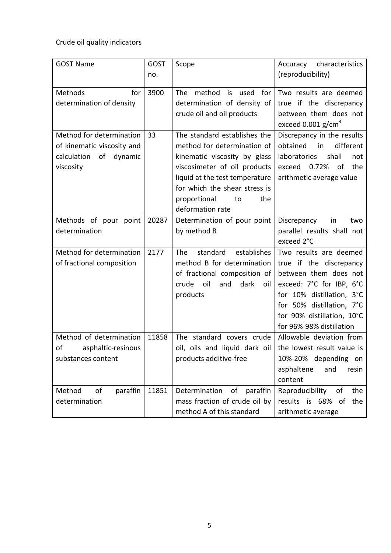## Crude oil quality indicators

| <b>GOST Name</b>           | <b>GOST</b> | Scope                                     | Accuracy characteristics         |
|----------------------------|-------------|-------------------------------------------|----------------------------------|
|                            | no.         |                                           | (reproducibility)                |
|                            |             |                                           |                                  |
| Methods<br>for             | 3900        | method<br><b>The</b><br>is<br>used<br>for | Two results are deemed           |
| determination of density   |             | determination of density of               | true if the discrepancy          |
|                            |             | crude oil and oil products                | between them does not            |
|                            |             |                                           | exceed $0.001$ g/cm <sup>3</sup> |
| Method for determination   | 33          | The standard establishes the              | Discrepancy in the results       |
| of kinematic viscosity and |             | method for determination of               | obtained<br>different<br>in      |
| calculation<br>of dynamic  |             | kinematic viscosity by glass              | laboratories<br>shall<br>not     |
| viscosity                  |             | viscosimeter of oil products              | exceed 0.72%<br>the<br>of        |
|                            |             | liquid at the test temperature            | arithmetic average value         |
|                            |             | for which the shear stress is             |                                  |
|                            |             | proportional<br>the<br>to                 |                                  |
|                            |             | deformation rate                          |                                  |
| Methods of pour point      | 20287       | Determination of pour point               | Discrepancy<br>in<br>two         |
| determination              |             | by method B                               | parallel results shall not       |
|                            |             |                                           | exceed 2°C                       |
| Method for determination   | 2177        | establishes<br>standard<br>The            | Two results are deemed           |
| of fractional composition  |             | method B for determination                | true if the discrepancy          |
|                            |             | of fractional composition of              | between them does not            |
|                            |             | oil<br>crude<br>and<br>dark<br>oil        | exceed: 7°C for IBP, 6°C         |
|                            |             | products                                  | for 10% distillation, 3°C        |
|                            |             |                                           | for 50% distillation, 7°C        |
|                            |             |                                           | for 90% distillation, 10°C       |
|                            |             |                                           | for 96%-98% distillation         |
| Method of determination    | 11858       | The standard covers crude                 | Allowable deviation from         |
| of<br>asphaltic-resinous   |             | oil, oils and liquid dark oil             | the lowest result value is       |
| substances content         |             | products additive-free                    | 10%-20% depending on             |
|                            |             |                                           | asphaltene<br>and<br>resin       |
|                            |             |                                           | content                          |
| paraffin<br>Method<br>of   | 11851       | Determination<br>of<br>paraffin           | Reproducibility<br>of<br>the     |
| determination              |             | mass fraction of crude oil by             | results is 68% of<br>the         |
|                            |             | method A of this standard                 | arithmetic average               |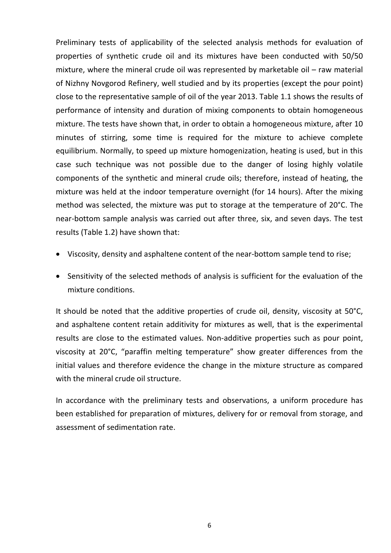Preliminary tests of applicability of the selected analysis methods for evaluation of properties of synthetic crude oil and its mixtures have been conducted with 50/50 mixture, where the mineral crude oil was represented by marketable oil – raw material of Nizhny Novgorod Refinery, well studied and by its properties (except the pour point) close to the representative sample of oil of the year 2013. Table 1.1 shows the results of performance of intensity and duration of mixing components to obtain homogeneous mixture. The tests have shown that, in order to obtain a homogeneous mixture, after 10 minutes of stirring, some time is required for the mixture to achieve complete equilibrium. Normally, to speed up mixture homogenization, heating is used, but in this case such technique was not possible due to the danger of losing highly volatile components of the synthetic and mineral crude oils; therefore, instead of heating, the mixture was held at the indoor temperature overnight (for 14 hours). After the mixing method was selected, the mixture was put to storage at the temperature of 20°C. The near-bottom sample analysis was carried out after three, six, and seven days. The test results (Table 1.2) have shown that:

- Viscosity, density and asphaltene content of the near-bottom sample tend to rise;
- Sensitivity of the selected methods of analysis is sufficient for the evaluation of the mixture conditions.

It should be noted that the additive properties of crude oil, density, viscosity at 50°C, and asphaltene content retain additivity for mixtures as well, that is the experimental results are close to the estimated values. Non-additive properties such as pour point, viscosity at 20°C, "paraffin melting temperature" show greater differences from the initial values and therefore evidence the change in the mixture structure as compared with the mineral crude oil structure.

In accordance with the preliminary tests and observations, a uniform procedure has been established for preparation of mixtures, delivery for or removal from storage, and assessment of sedimentation rate.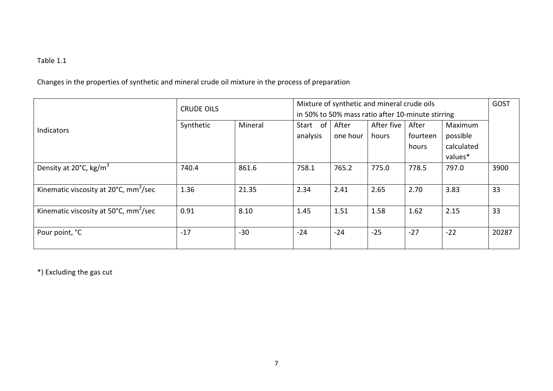## Table 1.1

Changes in the properties of synthetic and mineral crude oil mixture in the process of preparation

|                                                              | <b>CRUDE OILS</b> |         | Mixture of synthetic and mineral crude oils<br>in 50% to 50% mass ratio after 10-minute stirring |                   |                     |                            |                                              |       |
|--------------------------------------------------------------|-------------------|---------|--------------------------------------------------------------------------------------------------|-------------------|---------------------|----------------------------|----------------------------------------------|-------|
| Indicators                                                   | Synthetic         | Mineral | of<br>Start<br>analysis                                                                          | After<br>one hour | After five<br>hours | After<br>fourteen<br>hours | Maximum<br>possible<br>calculated<br>values* |       |
| Density at 20°C, kg/m <sup>3</sup>                           | 740.4             | 861.6   | 758.1                                                                                            | 765.2             | 775.0               | 778.5                      | 797.0                                        | 3900  |
| Kinematic viscosity at $20^{\circ}$ C, mm <sup>2</sup> /sec  | 1.36              | 21.35   | 2.34                                                                                             | 2.41              | 2.65                | 2.70                       | 3.83                                         | 33    |
| Kinematic viscosity at 50 $^{\circ}$ C, mm <sup>2</sup> /sec | 0.91              | 8.10    | 1.45                                                                                             | 1.51              | 1.58                | 1.62                       | 2.15                                         | 33    |
| Pour point, °C                                               | $-17$             | $-30$   | $-24$                                                                                            | $-24$             | $-25$               | $-27$                      | $-22$                                        | 20287 |

\*) Excluding the gas cut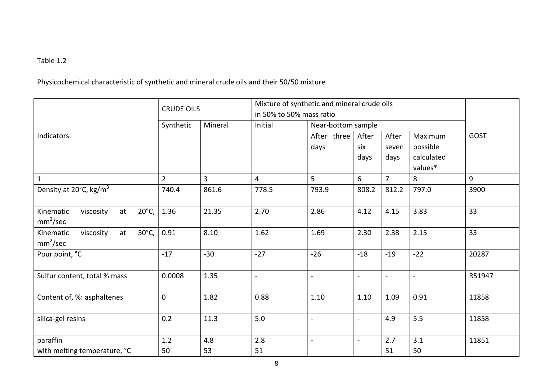## Table 1.2

Physicochemical characteristic of synthetic and mineral crude oils and their 50/50 mixture

|                                                                         | <b>CRUDE OILS</b> |                | Mixture of synthetic and mineral crude oils |                    |          |                          |                     |                |
|-------------------------------------------------------------------------|-------------------|----------------|---------------------------------------------|--------------------|----------|--------------------------|---------------------|----------------|
|                                                                         |                   |                | in 50% to 50% mass ratio                    |                    |          |                          |                     |                |
|                                                                         | Synthetic         | Mineral        | Initial                                     | Near-bottom sample |          |                          |                     |                |
| Indicators                                                              |                   |                |                                             | After three        | After    | After                    | Maximum             | GOST           |
|                                                                         |                   |                |                                             | days               | six      | seven                    | possible            |                |
|                                                                         |                   |                |                                             |                    | days     | days                     | calculated          |                |
|                                                                         |                   |                |                                             |                    |          |                          | values*             |                |
| $\mathbf{1}$                                                            | $\overline{2}$    | $\overline{3}$ | 4                                           | 5                  | 6        | $\overline{7}$           | 8                   | $\overline{9}$ |
| Density at 20°C, kg/m <sup>3</sup>                                      | 740.4             | 861.6          | 778.5                                       | 793.9              | 808.2    | 812.2                    | 797.0               | 3900           |
| $20^{\circ}$ C,<br>Kinematic<br>viscosity<br>at<br>mm <sup>2</sup> /sec | 1.36              | 21.35          | 2.70                                        | 2.86               | 4.12     | 4.15                     | 3.83                | 33             |
| $50^{\circ}$ C,<br>Kinematic<br>viscosity<br>at<br>mm <sup>2</sup> /sec | 0.91              | 8.10           | 1.62                                        | 1.69               | 2.30     | 2.38                     | 2.15                | 33             |
| Pour point, °C                                                          | $-17$             | $-30$          | $-27$                                       | $-26$              | $-18$    | $-19$                    | $-22$               | 20287          |
| Sulfur content, total % mass                                            | 0.0008            | 1.35           | $\blacksquare$                              | $\mathbf{r}$       | L,       | $\overline{\phantom{a}}$ | $\bar{\phantom{a}}$ | R51947         |
| Content of, %: asphaltenes                                              | $\pmb{0}$         | 1.82           | 0.88                                        | 1.10               | 1.10     | 1.09                     | 0.91                | 11858          |
| silica-gel resins                                                       | 0.2               | 11.3           | 5.0                                         | $\blacksquare$     | $\equiv$ | 4.9                      | 5.5                 | 11858          |
| paraffin                                                                | 1.2               | 4.8            | 2.8                                         | $\blacksquare$     |          | 2.7                      | 3.1                 | 11851          |
| with melting temperature, °C                                            | 50                | 53             | 51                                          |                    |          | 51                       | 50                  |                |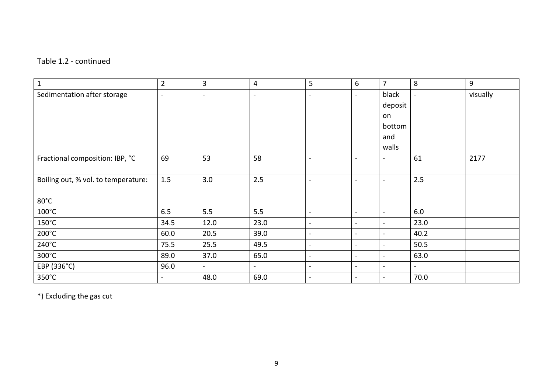## Table 1.2 - continued

| $\mathbf 1$                         | $\overline{2}$ | $\overline{3}$ | 4              | 5              | 6              | $\overline{7}$           | 8      | 9        |
|-------------------------------------|----------------|----------------|----------------|----------------|----------------|--------------------------|--------|----------|
| Sedimentation after storage         | $\sim$         | $\blacksquare$ | $\sim$         | $\sim$         | $\blacksquare$ | black                    | $\sim$ | visually |
|                                     |                |                |                |                |                | deposit                  |        |          |
|                                     |                |                |                |                |                | on                       |        |          |
|                                     |                |                |                |                |                | bottom                   |        |          |
|                                     |                |                |                |                |                | and                      |        |          |
|                                     |                |                |                |                |                | walls                    |        |          |
| Fractional composition: IBP, °C     | 69             | 53             | 58             | $\sim$         | $\blacksquare$ |                          | 61     | 2177     |
|                                     |                |                |                |                |                |                          |        |          |
| Boiling out, % vol. to temperature: | 1.5            | 3.0            | 2.5            | $\blacksquare$ | $\blacksquare$ | $\sim$                   | 2.5    |          |
|                                     |                |                |                |                |                |                          |        |          |
| $80^{\circ}$ C                      |                |                |                |                |                |                          |        |          |
| $100^{\circ}$ C                     | 6.5            | 5.5            | 5.5            | $\sim$         | $\sim$         | $\sim$                   | 6.0    |          |
| $150^{\circ}$ C                     | 34.5           | 12.0           | 23.0           | $\blacksquare$ | $\blacksquare$ | $\sim$                   | 23.0   |          |
| $200^{\circ}$ C                     | 60.0           | 20.5           | 39.0           | $\sim$         | $\blacksquare$ | $\sim$                   | 40.2   |          |
| $240^{\circ}$ C                     | 75.5           | 25.5           | 49.5           | $\blacksquare$ | $\blacksquare$ | $\sim$                   | 50.5   |          |
| 300°C                               | 89.0           | 37.0           | 65.0           | $\blacksquare$ | $\blacksquare$ | $\sim$                   | 63.0   |          |
| EBP (336°C)                         | 96.0           | $\blacksquare$ | $\blacksquare$ | $\blacksquare$ | $\blacksquare$ | $\overline{\phantom{a}}$ | $\sim$ |          |
| $350^{\circ}$ C                     |                | 48.0           | 69.0           | $\sim$         | $\sim$         | $\sim$                   | 70.0   |          |

\*) Excluding the gas cut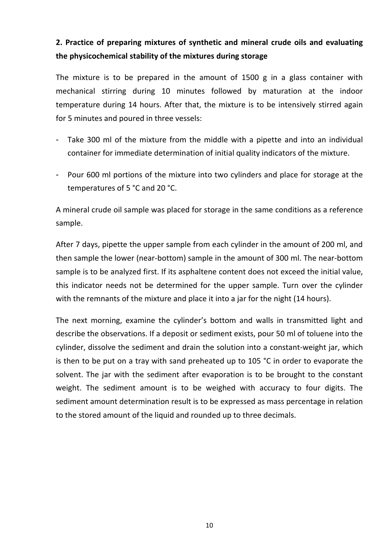# **2. Practice of preparing mixtures of synthetic and mineral crude oils and evaluating the physicochemical stability of the mixtures during storage**

The mixture is to be prepared in the amount of 1500 g in a glass container with mechanical stirring during 10 minutes followed by maturation at the indoor temperature during 14 hours. After that, the mixture is to be intensively stirred again for 5 minutes and poured in three vessels:

- Take 300 ml of the mixture from the middle with a pipette and into an individual container for immediate determination of initial quality indicators of the mixture.
- Pour 600 ml portions of the mixture into two cylinders and place for storage at the temperatures of 5 °C and 20 °C.

A mineral crude oil sample was placed for storage in the same conditions as a reference sample.

After 7 days, pipette the upper sample from each cylinder in the amount of 200 ml, and then sample the lower (near-bottom) sample in the amount of 300 ml. The near-bottom sample is to be analyzed first. If its asphaltene content does not exceed the initial value, this indicator needs not be determined for the upper sample. Turn over the cylinder with the remnants of the mixture and place it into a jar for the night (14 hours).

The next morning, examine the cylinder's bottom and walls in transmitted light and describe the observations. If a deposit or sediment exists, pour 50 ml of toluene into the cylinder, dissolve the sediment and drain the solution into a constant-weight jar, which is then to be put on a tray with sand preheated up to 105 °C in order to evaporate the solvent. The jar with the sediment after evaporation is to be brought to the constant weight. The sediment amount is to be weighed with accuracy to four digits. The sediment amount determination result is to be expressed as mass percentage in relation to the stored amount of the liquid and rounded up to three decimals.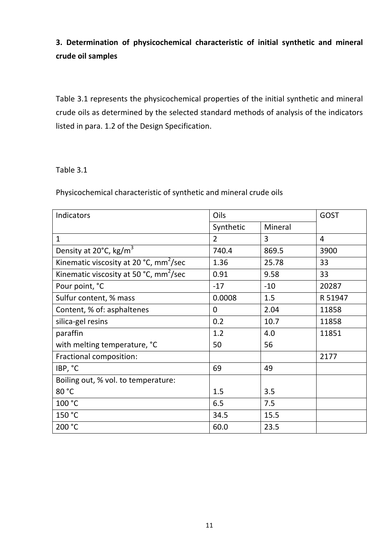# **3. Determination of physicochemical characteristic of initial synthetic and mineral crude oil samples**

Table 3.1 represents the physicochemical properties of the initial synthetic and mineral crude oils as determined by the selected standard methods of analysis of the indicators listed in para. 1.2 of the Design Specification.

#### Table 3.1

Physicochemical characteristic of synthetic and mineral crude oils

| Indicators                                         | Oils           |         | <b>GOST</b>    |
|----------------------------------------------------|----------------|---------|----------------|
|                                                    | Synthetic      | Mineral |                |
| $\mathbf{1}$                                       | $\overline{2}$ | 3       | $\overline{4}$ |
| Density at $20^{\circ}$ C, kg/m <sup>3</sup>       | 740.4          | 869.5   | 3900           |
| Kinematic viscosity at 20 °C, mm <sup>2</sup> /sec | 1.36           | 25.78   | 33             |
| Kinematic viscosity at 50 °C, mm <sup>2</sup> /sec | 0.91           | 9.58    | 33             |
| Pour point, °C                                     | $-17$          | $-10$   | 20287          |
| Sulfur content, % mass                             | 0.0008         | 1.5     | R 51947        |
| Content, % of: asphaltenes                         | $\mathbf 0$    | 2.04    | 11858          |
| silica-gel resins                                  | 0.2            | 10.7    | 11858          |
| paraffin                                           | 1.2            | 4.0     | 11851          |
| with melting temperature, °C                       | 50             | 56      |                |
| Fractional composition:                            |                |         | 2177           |
| IBP, °C                                            | 69             | 49      |                |
| Boiling out, % vol. to temperature:                |                |         |                |
| 80 °C                                              | 1.5            | 3.5     |                |
| 100 °C                                             | 6.5            | 7.5     |                |
| 150 °C                                             | 34.5           | 15.5    |                |
| 200 °C                                             | 60.0           | 23.5    |                |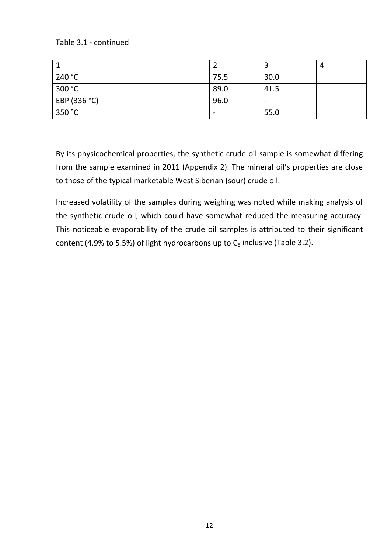### Table 3.1 - continued

|              |                          |      | 4 |
|--------------|--------------------------|------|---|
| 240 °C       | 75.5                     | 30.0 |   |
| 300 °C       | 89.0                     | 41.5 |   |
| EBP (336 °C) | 96.0                     | -    |   |
| 350 °C       | $\overline{\phantom{0}}$ | 55.0 |   |

By its physicochemical properties, the synthetic crude oil sample is somewhat differing from the sample examined in 2011 (Appendix 2). The mineral oil's properties are close to those of the typical marketable West Siberian (sour) crude oil.

Increased volatility of the samples during weighing was noted while making analysis of the synthetic crude oil, which could have somewhat reduced the measuring accuracy. This noticeable evaporability of the crude oil samples is attributed to their significant content (4.9% to 5.5%) of light hydrocarbons up to  $C_5$  inclusive (Table 3.2).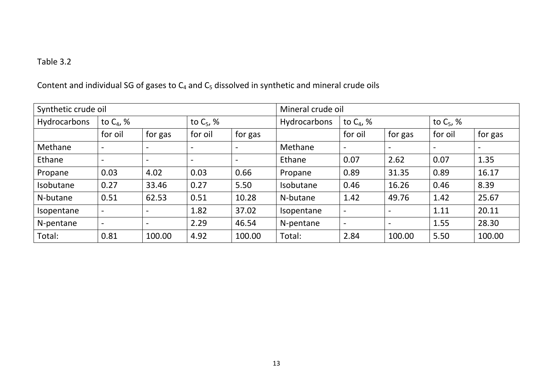# Table 3.2

Content and individual SG of gases to  $C_4$  and  $C_5$  dissolved in synthetic and mineral crude oils

| Synthetic crude oil |                          |                          |                          |         | Mineral crude oil |                          |                          |                          |                          |
|---------------------|--------------------------|--------------------------|--------------------------|---------|-------------------|--------------------------|--------------------------|--------------------------|--------------------------|
| Hydrocarbons        | to $C_4$ , %             |                          | to $C_5$ , %             |         | Hydrocarbons      | to $C_4$ , %             |                          | to $C_5$ , %             |                          |
|                     | for oil                  | for gas                  | for oil                  | for gas |                   | for oil                  | for gas                  | for oil                  | for gas                  |
| Methane             | $\overline{\phantom{a}}$ | $\overline{\phantom{a}}$ | $\overline{\phantom{a}}$ |         | Methane           | $\overline{\phantom{a}}$ | $\overline{\phantom{0}}$ | $\overline{\phantom{a}}$ | $\overline{\phantom{a}}$ |
| Ethane              | $\overline{\phantom{a}}$ | $\overline{a}$           | $\overline{\phantom{a}}$ |         | Ethane            | 0.07                     | 2.62                     | 0.07                     | 1.35                     |
| Propane             | 0.03                     | 4.02                     | 0.03                     | 0.66    | Propane           | 0.89                     | 31.35                    | 0.89                     | 16.17                    |
| Isobutane           | 0.27                     | 33.46                    | 0.27                     | 5.50    | Isobutane         | 0.46                     | 16.26                    | 0.46                     | 8.39                     |
| N-butane            | 0.51                     | 62.53                    | 0.51                     | 10.28   | N-butane          | 1.42                     | 49.76                    | 1.42                     | 25.67                    |
| Isopentane          | $\overline{\phantom{a}}$ |                          | 1.82                     | 37.02   | Isopentane        |                          |                          | 1.11                     | 20.11                    |
| N-pentane           | $\overline{\phantom{a}}$ | $\overline{\phantom{0}}$ | 2.29                     | 46.54   | N-pentane         |                          | $\overline{\phantom{a}}$ | 1.55                     | 28.30                    |
| Total:              | 0.81                     | 100.00                   | 4.92                     | 100.00  | Total:            | 2.84                     | 100.00                   | 5.50                     | 100.00                   |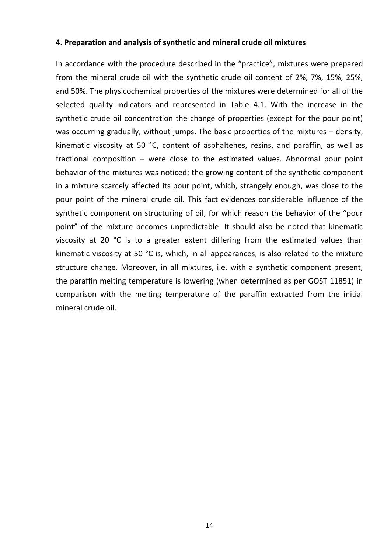#### **4. Preparation and analysis of synthetic and mineral crude oil mixtures**

In accordance with the procedure described in the "practice", mixtures were prepared from the mineral crude oil with the synthetic crude oil content of 2%, 7%, 15%, 25%, and 50%. The physicochemical properties of the mixtures were determined for all of the selected quality indicators and represented in Table 4.1. With the increase in the synthetic crude oil concentration the change of properties (except for the pour point) was occurring gradually, without jumps. The basic properties of the mixtures – density, kinematic viscosity at 50 °C, content of asphaltenes, resins, and paraffin, as well as fractional composition – were close to the estimated values. Abnormal pour point behavior of the mixtures was noticed: the growing content of the synthetic component in a mixture scarcely affected its pour point, which, strangely enough, was close to the pour point of the mineral crude oil. This fact evidences considerable influence of the synthetic component on structuring of oil, for which reason the behavior of the "pour point" of the mixture becomes unpredictable. It should also be noted that kinematic viscosity at 20 °C is to a greater extent differing from the estimated values than kinematic viscosity at 50 °C is, which, in all appearances, is also related to the mixture structure change. Moreover, in all mixtures, i.e. with a synthetic component present, the paraffin melting temperature is lowering (when determined as per GOST 11851) in comparison with the melting temperature of the paraffin extracted from the initial mineral crude oil.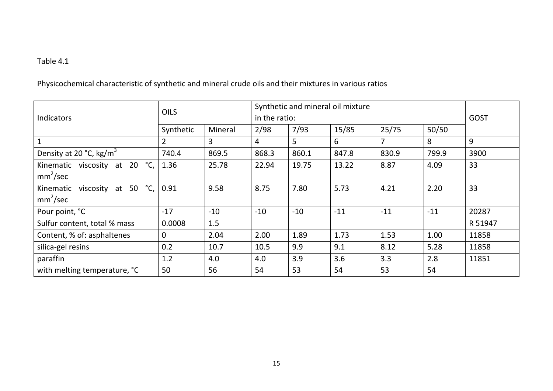## Table 4.1

Physicochemical characteristic of synthetic and mineral crude oils and their mixtures in various ratios

| Indicators                          | OILS      |         | Synthetic and mineral oil mixture<br>in the ratio: | <b>GOST</b> |       |                |       |         |
|-------------------------------------|-----------|---------|----------------------------------------------------|-------------|-------|----------------|-------|---------|
|                                     | Synthetic | Mineral | 2/98                                               | 7/93        | 15/85 | 25/75          | 50/50 |         |
|                                     | 2         | 3       | 4                                                  | 5           | 6     | $\overline{7}$ | 8     | 9       |
| Density at 20 °C, kg/m <sup>3</sup> | 740.4     | 869.5   | 868.3                                              | 860.1       | 847.8 | 830.9          | 799.9 | 3900    |
| 20 $°C$ ,<br>Kinematic viscosity at | 1.36      | 25.78   | 22.94                                              | 19.75       | 13.22 | 8.87           | 4.09  | 33      |
| mm <sup>2</sup> /sec                |           |         |                                                    |             |       |                |       |         |
| Kinematic viscosity at 50 °C,       | 0.91      | 9.58    | 8.75                                               | 7.80        | 5.73  | 4.21           | 2.20  | 33      |
| mm <sup>2</sup> /sec                |           |         |                                                    |             |       |                |       |         |
| Pour point, °C                      | $-17$     | $-10$   | $-10$                                              | $-10$       | $-11$ | $-11$          | $-11$ | 20287   |
| Sulfur content, total % mass        | 0.0008    | 1.5     |                                                    |             |       |                |       | R 51947 |
| Content, % of: asphaltenes          | 0         | 2.04    | 2.00                                               | 1.89        | 1.73  | 1.53           | 1.00  | 11858   |
| silica-gel resins                   | 0.2       | 10.7    | 10.5                                               | 9.9         | 9.1   | 8.12           | 5.28  | 11858   |
| paraffin                            | 1.2       | 4.0     | 4.0                                                | 3.9         | 3.6   | 3.3            | 2.8   | 11851   |
| with melting temperature, °C        | 50        | 56      | 54                                                 | 53          | 54    | 53             | 54    |         |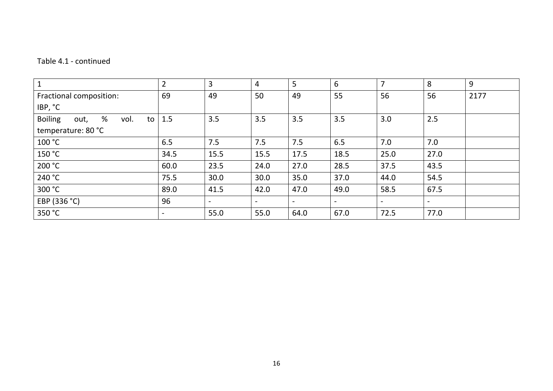### Table 4.1 - continued

|                                           | $\overline{2}$ | 3                        | $\overline{4}$           | 5                        | 6                        | $\overline{7}$           | 8                        | 9    |
|-------------------------------------------|----------------|--------------------------|--------------------------|--------------------------|--------------------------|--------------------------|--------------------------|------|
| Fractional composition:                   | 69             | 49                       | 50                       | 49                       | 55                       | 56                       | 56                       | 2177 |
| IBP, °C                                   |                |                          |                          |                          |                          |                          |                          |      |
| <b>Boiling</b><br>%<br>vol.<br>to<br>out, | 1.5            | 3.5                      | 3.5                      | 3.5                      | 3.5                      | 3.0                      | 2.5                      |      |
| temperature: 80 °C                        |                |                          |                          |                          |                          |                          |                          |      |
| 100 °C                                    | 6.5            | 7.5                      | 7.5                      | 7.5                      | 6.5                      | 7.0                      | 7.0                      |      |
| 150 °C                                    | 34.5           | 15.5                     | 15.5                     | 17.5                     | 18.5                     | 25.0                     | 27.0                     |      |
| 200 °C                                    | 60.0           | 23.5                     | 24.0                     | 27.0                     | 28.5                     | 37.5                     | 43.5                     |      |
| 240 °C                                    | 75.5           | 30.0                     | 30.0                     | 35.0                     | 37.0                     | 44.0                     | 54.5                     |      |
| 300 °C                                    | 89.0           | 41.5                     | 42.0                     | 47.0                     | 49.0                     | 58.5                     | 67.5                     |      |
| EBP (336 °C)                              | 96             | $\overline{\phantom{a}}$ | $\overline{\phantom{a}}$ | $\overline{\phantom{a}}$ | $\overline{\phantom{a}}$ | $\overline{\phantom{a}}$ | $\overline{\phantom{a}}$ |      |
| 350 °C                                    |                | 55.0                     | 55.0                     | 64.0                     | 67.0                     | 72.5                     | 77.0                     |      |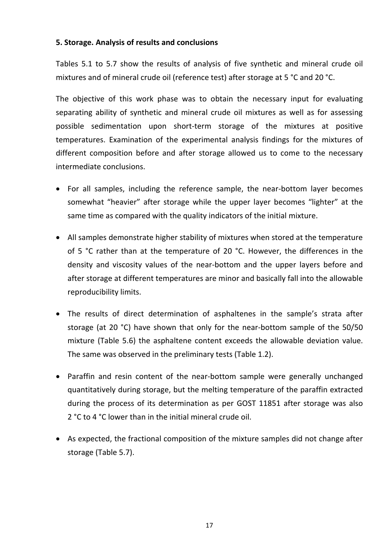### **5. Storage. Analysis of results and conclusions**

Tables 5.1 to 5.7 show the results of analysis of five synthetic and mineral crude oil mixtures and of mineral crude oil (reference test) after storage at 5 °C and 20 °C.

The objective of this work phase was to obtain the necessary input for evaluating separating ability of synthetic and mineral crude oil mixtures as well as for assessing possible sedimentation upon short-term storage of the mixtures at positive temperatures. Examination of the experimental analysis findings for the mixtures of different composition before and after storage allowed us to come to the necessary intermediate conclusions.

- For all samples, including the reference sample, the near-bottom layer becomes somewhat "heavier" after storage while the upper layer becomes "lighter" at the same time as compared with the quality indicators of the initial mixture.
- All samples demonstrate higher stability of mixtures when stored at the temperature of 5 °C rather than at the temperature of 20 °C. However, the differences in the density and viscosity values of the near-bottom and the upper layers before and after storage at different temperatures are minor and basically fall into the allowable reproducibility limits.
- The results of direct determination of asphaltenes in the sample's strata after storage (at 20 °C) have shown that only for the near-bottom sample of the 50/50 mixture (Table 5.6) the asphaltene content exceeds the allowable deviation value. The same was observed in the preliminary tests (Table 1.2).
- Paraffin and resin content of the near-bottom sample were generally unchanged quantitatively during storage, but the melting temperature of the paraffin extracted during the process of its determination as per GOST 11851 after storage was also 2 °C to 4 °C lower than in the initial mineral crude oil.
- As expected, the fractional composition of the mixture samples did not change after storage (Table 5.7).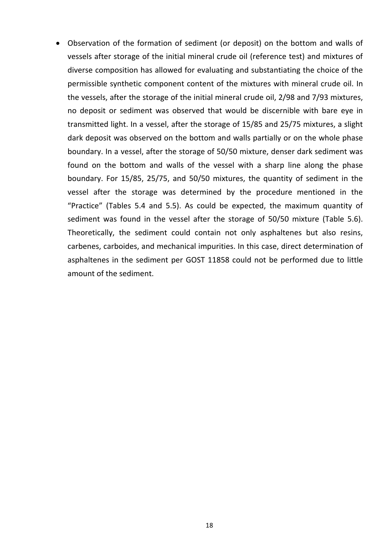• Observation of the formation of sediment (or deposit) on the bottom and walls of vessels after storage of the initial mineral crude oil (reference test) and mixtures of diverse composition has allowed for evaluating and substantiating the choice of the permissible synthetic component content of the mixtures with mineral crude oil. In the vessels, after the storage of the initial mineral crude oil, 2/98 and 7/93 mixtures, no deposit or sediment was observed that would be discernible with bare eye in transmitted light. In a vessel, after the storage of 15/85 and 25/75 mixtures, a slight dark deposit was observed on the bottom and walls partially or on the whole phase boundary. In a vessel, after the storage of 50/50 mixture, denser dark sediment was found on the bottom and walls of the vessel with a sharp line along the phase boundary. For 15/85, 25/75, and 50/50 mixtures, the quantity of sediment in the vessel after the storage was determined by the procedure mentioned in the "Practice" (Tables 5.4 and 5.5). As could be expected, the maximum quantity of sediment was found in the vessel after the storage of 50/50 mixture (Table 5.6). Theoretically, the sediment could contain not only asphaltenes but also resins, carbenes, carboides, and mechanical impurities. In this case, direct determination of asphaltenes in the sediment per GOST 11858 could not be performed due to little amount of the sediment.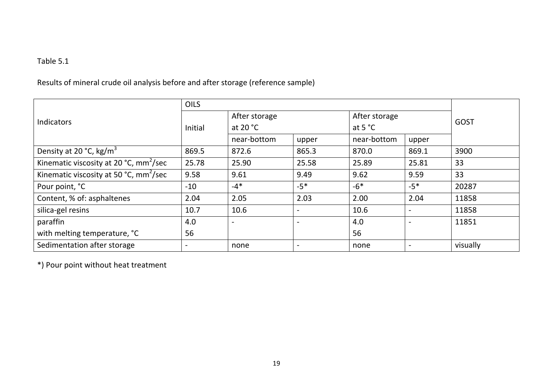# Results of mineral crude oil analysis before and after storage (reference sample)

|                                                              | OILS    |                          |       |               |                          |          |  |
|--------------------------------------------------------------|---------|--------------------------|-------|---------------|--------------------------|----------|--|
| Indicators                                                   |         | After storage            |       | After storage |                          | GOST     |  |
|                                                              | Initial | at $20 °C$               |       | at $5 °C$     |                          |          |  |
|                                                              |         | near-bottom              | upper | near-bottom   | upper                    |          |  |
| Density at 20 $°C$ , kg/m <sup>3</sup>                       | 869.5   | 872.6                    | 865.3 | 870.0         | 869.1                    | 3900     |  |
| Kinematic viscosity at 20 $^{\circ}$ C, mm <sup>2</sup> /sec | 25.78   | 25.90                    | 25.58 | 25.89         | 25.81                    | 33       |  |
| Kinematic viscosity at 50 $^{\circ}$ C, mm <sup>2</sup> /sec | 9.58    | 9.61                     | 9.49  | 9.62          | 9.59                     | 33       |  |
| Pour point, °C                                               | $-10$   | $-4*$                    | $-5*$ | $-6*$         | $-5*$                    | 20287    |  |
| Content, % of: asphaltenes                                   | 2.04    | 2.05                     | 2.03  | 2.00          | 2.04                     | 11858    |  |
| silica-gel resins                                            | 10.7    | 10.6                     |       | 10.6          | $\overline{\phantom{a}}$ | 11858    |  |
| paraffin                                                     | 4.0     | $\overline{\phantom{a}}$ |       | 4.0           |                          | 11851    |  |
| with melting temperature, °C                                 | 56      |                          |       | 56            |                          |          |  |
| Sedimentation after storage                                  |         | none                     |       | none          |                          | visually |  |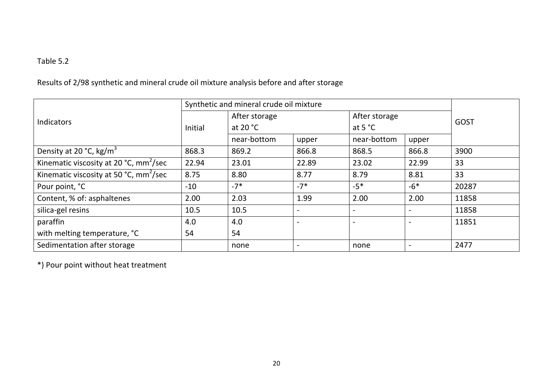## Results of 2/98 synthetic and mineral crude oil mixture analysis before and after storage

|                                                              | Synthetic and mineral crude oil mixture |                                     |       |                            |       |       |  |
|--------------------------------------------------------------|-----------------------------------------|-------------------------------------|-------|----------------------------|-------|-------|--|
| Indicators                                                   |                                         | After storage<br>at 20 $^{\circ}$ C |       | After storage<br>at $5 °C$ |       | GOST  |  |
|                                                              | Initial                                 |                                     |       |                            |       |       |  |
|                                                              |                                         | near-bottom                         | upper | near-bottom                | upper |       |  |
| Density at 20 °C, kg/m <sup>3</sup>                          | 868.3                                   | 869.2                               | 866.8 | 868.5                      | 866.8 | 3900  |  |
| Kinematic viscosity at 20 $^{\circ}$ C, mm <sup>2</sup> /sec | 22.94                                   | 23.01                               | 22.89 | 23.02                      | 22.99 | 33    |  |
| Kinematic viscosity at 50 $^{\circ}$ C, mm <sup>2</sup> /sec | 8.75                                    | 8.80                                | 8.77  | 8.79                       | 8.81  | 33    |  |
| Pour point, °C                                               | $-10$                                   | $-7*$                               | $-7*$ | $-5*$                      | $-6*$ | 20287 |  |
| Content, % of: asphaltenes                                   | 2.00                                    | 2.03                                | 1.99  | 2.00                       | 2.00  | 11858 |  |
| silica-gel resins                                            | 10.5                                    | 10.5                                |       |                            |       | 11858 |  |
| paraffin                                                     | 4.0                                     | 4.0                                 |       |                            |       | 11851 |  |
| with melting temperature, °C                                 | 54                                      | 54                                  |       |                            |       |       |  |
| Sedimentation after storage                                  |                                         | none                                |       | none                       |       | 2477  |  |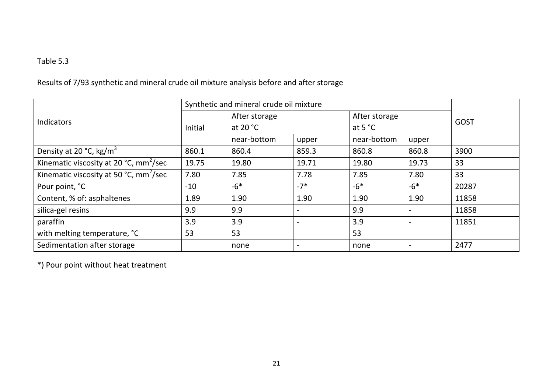## Results of 7/93 synthetic and mineral crude oil mixture analysis before and after storage

|                                                              | Synthetic and mineral crude oil mixture |               |       |                  |                          |       |  |
|--------------------------------------------------------------|-----------------------------------------|---------------|-------|------------------|--------------------------|-------|--|
| Indicators                                                   |                                         | After storage |       | After storage    |                          | GOST  |  |
|                                                              | Initial                                 | at $20 °C$    |       | at $5^{\circ}$ C |                          |       |  |
|                                                              |                                         | near-bottom   | upper | near-bottom      | upper                    |       |  |
| Density at 20 °C, $\text{kg/m}^3$                            | 860.1                                   | 860.4         | 859.3 | 860.8            | 860.8                    | 3900  |  |
| Kinematic viscosity at 20 $^{\circ}$ C, mm <sup>2</sup> /sec | 19.75                                   | 19.80         | 19.71 | 19.80            | 19.73                    | 33    |  |
| Kinematic viscosity at 50 $°C$ , mm <sup>2</sup> /sec        | 7.80                                    | 7.85          | 7.78  | 7.85             | 7.80                     | 33    |  |
| Pour point, °C                                               | $-10$                                   | $-6*$         | $-7*$ | $-6*$            | $-6*$                    | 20287 |  |
| Content, % of: asphaltenes                                   | 1.89                                    | 1.90          | 1.90  | 1.90             | 1.90                     | 11858 |  |
| silica-gel resins                                            | 9.9                                     | 9.9           |       | 9.9              | $\overline{\phantom{0}}$ | 11858 |  |
| paraffin                                                     | 3.9                                     | 3.9           |       | 3.9              |                          | 11851 |  |
| with melting temperature, °C                                 | 53                                      | 53            |       | 53               |                          |       |  |
| Sedimentation after storage                                  |                                         | none          |       | none             |                          | 2477  |  |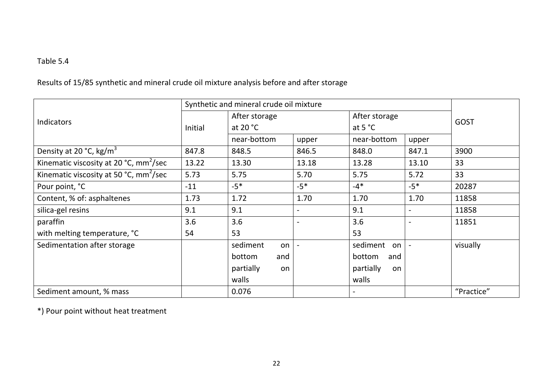## Results of 15/85 synthetic and mineral crude oil mixture analysis before and after storage

|                                                              | Synthetic and mineral crude oil mixture |                 |                          |                 |       |             |  |
|--------------------------------------------------------------|-----------------------------------------|-----------------|--------------------------|-----------------|-------|-------------|--|
| Indicators                                                   |                                         | After storage   |                          | After storage   |       | <b>GOST</b> |  |
|                                                              | Initial                                 | at $20 °C$      |                          | at $5 °C$       |       |             |  |
|                                                              |                                         | near-bottom     | upper                    | near-bottom     | upper |             |  |
| Density at 20 $°C$ , kg/m <sup>3</sup>                       | 847.8                                   | 848.5           | 846.5                    | 848.0           | 847.1 | 3900        |  |
| Kinematic viscosity at 20 $°C$ , mm <sup>2</sup> /sec        | 13.22                                   | 13.30           | 13.18                    | 13.28           | 13.10 | 33          |  |
| Kinematic viscosity at 50 $^{\circ}$ C, mm <sup>2</sup> /sec | 5.73                                    | 5.75            | 5.70                     | 5.75            | 5.72  | 33          |  |
| Pour point, °C                                               | $-11$                                   | $-5*$           | $-5*$                    | $-4*$           | $-5*$ | 20287       |  |
| Content, % of: asphaltenes                                   | 1.73                                    | 1.72            | 1.70                     | 1.70            | 1.70  | 11858       |  |
| silica-gel resins                                            | 9.1                                     | 9.1             | $\overline{\phantom{a}}$ | 9.1             |       | 11858       |  |
| paraffin                                                     | 3.6                                     | 3.6             | ٠                        | 3.6             |       | 11851       |  |
| with melting temperature, °C                                 | 54                                      | 53              |                          | 53              |       |             |  |
| Sedimentation after storage                                  |                                         | sediment<br>on  |                          | sediment<br>on  |       | visually    |  |
|                                                              |                                         | bottom<br>and   |                          | bottom<br>and   |       |             |  |
|                                                              |                                         | partially<br>on |                          | partially<br>on |       |             |  |
|                                                              |                                         | walls           |                          | walls           |       |             |  |
| Sediment amount, % mass                                      |                                         | 0.076           |                          |                 |       | "Practice"  |  |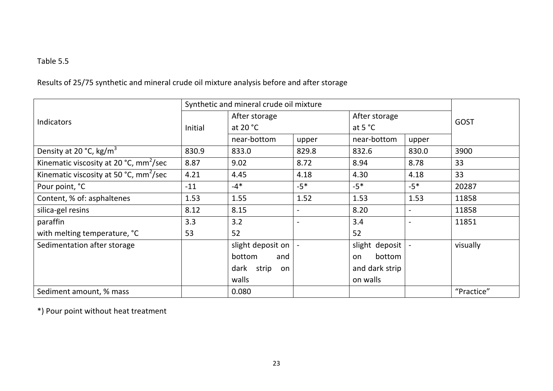## Results of 25/75 synthetic and mineral crude oil mixture analysis before and after storage

|                                                              | Synthetic and mineral crude oil mixture |                     |                |                |             |            |
|--------------------------------------------------------------|-----------------------------------------|---------------------|----------------|----------------|-------------|------------|
| Indicators                                                   |                                         | After storage       |                | After storage  | <b>GOST</b> |            |
|                                                              | Initial                                 | at $20 °C$          |                | at $5 °C$      |             |            |
|                                                              |                                         | near-bottom         | upper          | near-bottom    | upper       |            |
| Density at 20 °C, kg/m <sup>3</sup>                          | 830.9                                   | 833.0               | 829.8          | 832.6          | 830.0       | 3900       |
| Kinematic viscosity at 20 $^{\circ}$ C, mm <sup>2</sup> /sec | 8.87                                    | 9.02<br>8.72        |                | 8.94           | 8.78        | 33         |
| Kinematic viscosity at 50 °C, mm <sup>2</sup> /sec           | 4.21<br>4.45                            |                     | 4.18           | 4.30           | 4.18        | 33         |
| Pour point, °C                                               | $-11$                                   | $-4*$               | $-5*$          | $-5*$          | $-5*$       | 20287      |
| Content, % of: asphaltenes                                   | 1.53                                    | 1.55                | 1.52           | 1.53           | 1.53        | 11858      |
| silica-gel resins                                            | 8.12                                    | 8.15                | $\blacksquare$ | 8.20           |             | 11858      |
| paraffin                                                     | 3.3                                     | 3.2                 |                | 3.4            |             | 11851      |
| with melting temperature, °C                                 | 53                                      | 52                  |                | 52             |             |            |
| Sedimentation after storage                                  | slight deposit on                       |                     |                | slight deposit |             | visually   |
|                                                              |                                         | bottom<br>and       |                | bottom<br>on   |             |            |
|                                                              |                                         | dark<br>strip<br>on |                | and dark strip |             |            |
|                                                              |                                         | walls               |                | on walls       |             |            |
| Sediment amount, % mass                                      |                                         | 0.080               |                |                |             | "Practice" |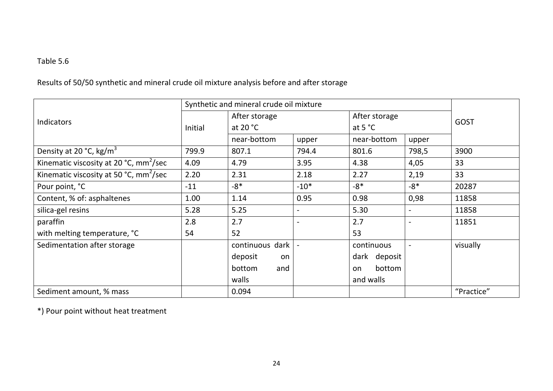## Results of 50/50 synthetic and mineral crude oil mixture analysis before and after storage

|                                                              | Synthetic and mineral crude oil mixture |                 |                          |                 |                          |            |  |
|--------------------------------------------------------------|-----------------------------------------|-----------------|--------------------------|-----------------|--------------------------|------------|--|
| Indicators                                                   |                                         | After storage   |                          | After storage   | <b>GOST</b>              |            |  |
|                                                              | Initial                                 | at $20 °C$      |                          | at $5 °C$       |                          |            |  |
|                                                              |                                         | near-bottom     | upper                    | near-bottom     | upper                    |            |  |
| Density at 20 $^{\circ}$ C, kg/m <sup>3</sup>                | 799.9                                   | 807.1           | 794.4                    | 801.6           | 798,5                    | 3900       |  |
| Kinematic viscosity at 20 $^{\circ}$ C, mm <sup>2</sup> /sec | 4.09                                    | 4.79            | 3.95                     | 4.38            | 4,05                     | 33         |  |
| Kinematic viscosity at 50 $^{\circ}$ C, mm <sup>2</sup> /sec | 2.20                                    | 2.31            | 2.18                     | 2.27            | 2,19                     | 33         |  |
| Pour point, °C                                               | $-11$                                   | $-8*$           | $-10*$                   | $-8*$           | $-8*$                    | 20287      |  |
| Content, % of: asphaltenes                                   | 1.00                                    | 1.14            | 0.95                     | 0.98            | 0,98                     | 11858      |  |
| silica-gel resins                                            | 5.28                                    | 5.25            | $\overline{\phantom{a}}$ | 5.30            | $\overline{\phantom{a}}$ | 11858      |  |
| paraffin                                                     | 2.8                                     | 2.7             | $\overline{\phantom{0}}$ | 2.7             |                          | 11851      |  |
| with melting temperature, °C                                 | 54                                      | 52              |                          | 53              |                          |            |  |
| Sedimentation after storage                                  |                                         | continuous dark |                          | continuous      |                          | visually   |  |
|                                                              |                                         | deposit<br>on   |                          | deposit<br>dark |                          |            |  |
|                                                              |                                         | bottom<br>and   |                          | bottom<br>on    |                          |            |  |
|                                                              |                                         | walls           |                          | and walls       |                          |            |  |
| Sediment amount, % mass                                      |                                         | 0.094           |                          |                 |                          | "Practice" |  |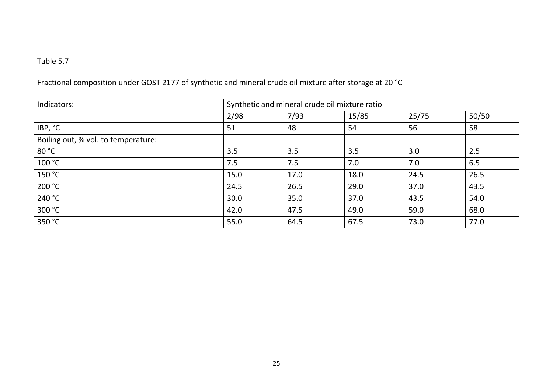Fractional composition under GOST 2177 of synthetic and mineral crude oil mixture after storage at 20 °C

| Indicators:                         | Synthetic and mineral crude oil mixture ratio |      |       |       |       |  |  |  |
|-------------------------------------|-----------------------------------------------|------|-------|-------|-------|--|--|--|
|                                     | 2/98                                          | 7/93 | 15/85 | 25/75 | 50/50 |  |  |  |
| IBP, °C                             | 51                                            | 48   | 54    | 56    | 58    |  |  |  |
| Boiling out, % vol. to temperature: |                                               |      |       |       |       |  |  |  |
| 80 °C                               | 3.5                                           | 3.5  | 3.5   | 3.0   | 2.5   |  |  |  |
| 100 °C                              | 7.5                                           | 7.5  | 7.0   | 7.0   | 6.5   |  |  |  |
| 150 °C                              | 15.0                                          | 17.0 | 18.0  | 24.5  | 26.5  |  |  |  |
| 200 °C                              | 24.5                                          | 26.5 | 29.0  | 37.0  | 43.5  |  |  |  |
| 240 °C                              | 30.0                                          | 35.0 | 37.0  | 43.5  | 54.0  |  |  |  |
| 300 °C                              | 42.0                                          | 47.5 | 49.0  | 59.0  | 68.0  |  |  |  |
| 350 °C                              | 55.0                                          | 64.5 | 67.5  | 73.0  | 77.0  |  |  |  |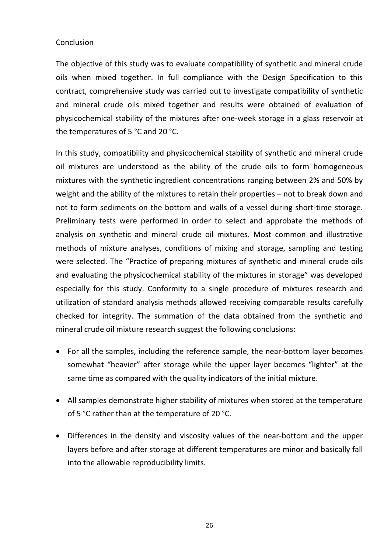### **Conclusion**

The objective of this study was to evaluate compatibility of synthetic and mineral crude oils when mixed together. In full compliance with the Design Specification to this contract, comprehensive study was carried out to investigate compatibility of synthetic and mineral crude oils mixed together and results were obtained of evaluation of physicochemical stability of the mixtures after one-week storage in a glass reservoir at the temperatures of 5 °C and 20 °C.

In this study, compatibility and physicochemical stability of synthetic and mineral crude oil mixtures are understood as the ability of the crude oils to form homogeneous mixtures with the synthetic ingredient concentrations ranging between 2% and 50% by weight and the ability of the mixtures to retain their properties – not to break down and not to form sediments on the bottom and walls of a vessel during short-time storage. Preliminary tests were performed in order to select and approbate the methods of analysis on synthetic and mineral crude oil mixtures. Most common and illustrative methods of mixture analyses, conditions of mixing and storage, sampling and testing were selected. The "Practice of preparing mixtures of synthetic and mineral crude oils and evaluating the physicochemical stability of the mixtures in storage" was developed especially for this study. Conformity to a single procedure of mixtures research and utilization of standard analysis methods allowed receiving comparable results carefully checked for integrity. The summation of the data obtained from the synthetic and mineral crude oil mixture research suggest the following conclusions:

- For all the samples, including the reference sample, the near-bottom layer becomes somewhat "heavier" after storage while the upper layer becomes "lighter" at the same time as compared with the quality indicators of the initial mixture.
- All samples demonstrate higher stability of mixtures when stored at the temperature of 5 °C rather than at the temperature of 20 °C.
- Differences in the density and viscosity values of the near-bottom and the upper layers before and after storage at different temperatures are minor and basically fall into the allowable reproducibility limits.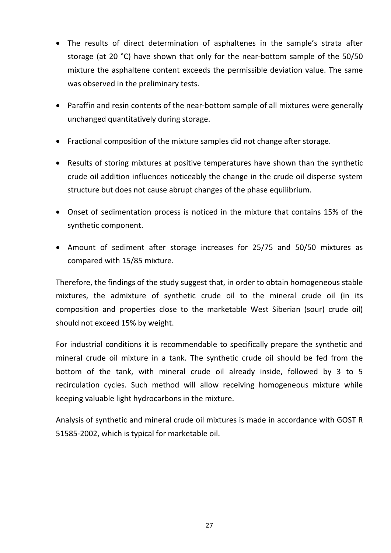- The results of direct determination of asphaltenes in the sample's strata after storage (at 20 °C) have shown that only for the near-bottom sample of the 50/50 mixture the asphaltene content exceeds the permissible deviation value. The same was observed in the preliminary tests.
- Paraffin and resin contents of the near-bottom sample of all mixtures were generally unchanged quantitatively during storage.
- Fractional composition of the mixture samples did not change after storage.
- Results of storing mixtures at positive temperatures have shown than the synthetic crude oil addition influences noticeably the change in the crude oil disperse system structure but does not cause abrupt changes of the phase equilibrium.
- Onset of sedimentation process is noticed in the mixture that contains 15% of the synthetic component.
- Amount of sediment after storage increases for 25/75 and 50/50 mixtures as compared with 15/85 mixture.

Therefore, the findings of the study suggest that, in order to obtain homogeneous stable mixtures, the admixture of synthetic crude oil to the mineral crude oil (in its composition and properties close to the marketable West Siberian (sour) crude oil) should not exceed 15% by weight.

For industrial conditions it is recommendable to specifically prepare the synthetic and mineral crude oil mixture in a tank. The synthetic crude oil should be fed from the bottom of the tank, with mineral crude oil already inside, followed by 3 to 5 recirculation cycles. Such method will allow receiving homogeneous mixture while keeping valuable light hydrocarbons in the mixture.

Analysis of synthetic and mineral crude oil mixtures is made in accordance with GOST R 51585-2002, which is typical for marketable oil.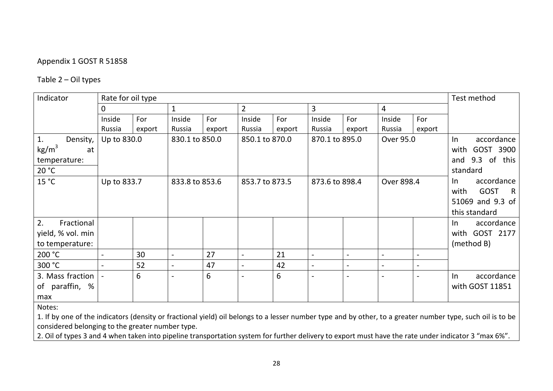### Appendix 1 GOST R 51858

### Table 2 – Oil types

| Indicator                                                | Rate for oil type        |        |                          |        |                          |        |                          |                          | Test method              |                          |                                                                                       |
|----------------------------------------------------------|--------------------------|--------|--------------------------|--------|--------------------------|--------|--------------------------|--------------------------|--------------------------|--------------------------|---------------------------------------------------------------------------------------|
|                                                          | 0                        |        | 1                        |        | $\overline{2}$           |        | 3                        |                          |                          |                          |                                                                                       |
|                                                          | Inside                   | For    | Inside                   | For    | Inside                   | For    | Inside                   | For                      | Inside                   | For                      |                                                                                       |
|                                                          | Russia                   | export | Russia                   | export | Russia                   | export | Russia                   | export                   | Russia                   | export                   |                                                                                       |
| 1.<br>Density,<br>$\text{kg/m}^3$<br>at                  | Up to 830.0              |        | 830.1 to 850.0           |        | 850.1 to 870.0           |        | 870.1 to 895.0           |                          | Over 95.0                |                          | accordance<br>In<br>GOST 3900<br>with                                                 |
| temperature:                                             |                          |        |                          |        |                          |        |                          |                          |                          |                          | 9.3 of this<br>and                                                                    |
| 20 °C                                                    |                          |        |                          |        |                          |        |                          |                          |                          |                          | standard                                                                              |
| 15 °C                                                    | Up to 833.7              |        | 833.8 to 853.6           |        | 853.7 to 873.5           |        | 873.6 to 898.4           |                          | Over 898.4               |                          | accordance<br>In<br>GOST<br>with<br>$\mathsf{R}$<br>51069 and 9.3 of<br>this standard |
| 2.<br>Fractional<br>yield, % vol. min<br>to temperature: |                          |        |                          |        |                          |        |                          |                          |                          |                          | accordance<br>In<br>with GOST 2177<br>(method B)                                      |
| 200 °C                                                   | $\overline{\phantom{a}}$ | 30     | $\overline{\phantom{0}}$ | 27     | $\overline{\phantom{a}}$ | 21     | $\overline{\phantom{0}}$ | $\overline{\phantom{a}}$ | $\blacksquare$           | $\overline{\phantom{a}}$ |                                                                                       |
| 300 °C                                                   | $\overline{\phantom{a}}$ | 52     |                          | 47     | $\overline{\phantom{a}}$ | 42     |                          | $\overline{\phantom{a}}$ | $\overline{\phantom{a}}$ |                          |                                                                                       |
| 3. Mass fraction<br>of paraffin, %<br>max                |                          | 6      |                          | 6      | $\overline{\phantom{0}}$ | 6      |                          |                          | $\overline{\phantom{a}}$ |                          | accordance<br>In<br>with GOST 11851                                                   |

Notes:

1. If by one of the indicators (density or fractional yield) oil belongs to a lesser number type and by other, to a greater number type, such oil is to be considered belonging to the greater number type.

2. Oil of types 3 and 4 when taken into pipeline transportation system for further delivery to export must have the rate under indicator 3 "max 6%".